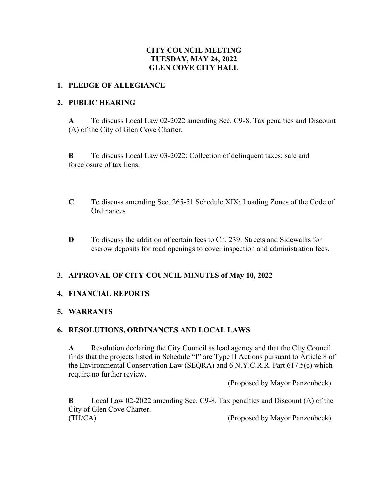# **CITY COUNCIL MEETING TUESDAY, MAY 24, 2022 GLEN COVE CITY HALL**

#### **1. PLEDGE OF ALLEGIANCE**

#### **2. PUBLIC HEARING**

**A** To discuss Local Law 02-2022 amending Sec. C9-8. Tax penalties and Discount (A) of the City of Glen Cove Charter.

**B** To discuss Local Law 03-2022: Collection of delinquent taxes; sale and foreclosure of tax liens.

- **C** To discuss amending Sec. 265-51 Schedule XIX: Loading Zones of the Code of **Ordinances**
- **D** To discuss the addition of certain fees to Ch. 239: Streets and Sidewalks for escrow deposits for road openings to cover inspection and administration fees.

## **3. APPROVAL OF CITY COUNCIL MINUTES of May 10, 2022**

## **4. FINANCIAL REPORTS**

#### **5. WARRANTS**

## **6. RESOLUTIONS, ORDINANCES AND LOCAL LAWS**

**A** Resolution declaring the City Council as lead agency and that the City Council finds that the projects listed in Schedule "I" are Type II Actions pursuant to Article 8 of the Environmental Conservation Law (SEQRA) and 6 N.Y.C.R.R. Part 617.5(c) which require no further review.

(Proposed by Mayor Panzenbeck)

**B** Local Law 02-2022 amending Sec. C9-8. Tax penalties and Discount (A) of the City of Glen Cove Charter. (TH/CA) (Proposed by Mayor Panzenbeck)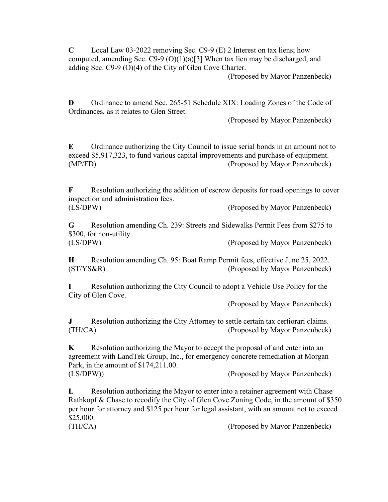**C** Local Law 03-2022 removing Sec. C9-9 (E) 2 Interest on tax liens; how computed, amending Sec. C9-9 (O)(1)(a)[3] When tax lien may be discharged, and adding Sec. C9-9 (O)(4) of the City of Glen Cove Charter.

(Proposed by Mayor Panzenbeck)

**D** Ordinance to amend Sec. 265-51 Schedule XIX: Loading Zones of the Code of Ordinances, as it relates to Glen Street.

(Proposed by Mayor Panzenbeck)

**E** Ordinance authorizing the City Council to issue serial bonds in an amount not to exceed \$5,917,323, to fund various capital improvements and purchase of equipment. (MP/FD) (Proposed by Mayor Panzenbeck)

**F** Resolution authorizing the addition of escrow deposits for road openings to cover inspection and administration fees.

(LS/DPW) (Proposed by Mayor Panzenbeck)

**G** Resolution amending Ch. 239: Streets and Sidewalks Permit Fees from \$275 to \$300, for non-utility.

(LS/DPW) (Proposed by Mayor Panzenbeck)

**H** Resolution amending Ch. 95: Boat Ramp Permit fees, effective June 25, 2022. (ST/YS&R) (Proposed by Mayor Panzenbeck)

**I** Resolution authorizing the City Council to adopt a Vehicle Use Policy for the City of Glen Cove.

(Proposed by Mayor Panzenbeck)

**J** Resolution authorizing the City Attorney to settle certain tax certiorari claims. (TH/CA) (Proposed by Mayor Panzenbeck)

**K** Resolution authorizing the Mayor to accept the proposal of and enter into an agreement with LandTek Group, Inc., for emergency concrete remediation at Morgan Park, in the amount of \$174,211.00. (LS/DPW)) (Proposed by Mayor Panzenbeck)

**L** Resolution authorizing the Mayor to enter into a retainer agreement with Chase Rathkopf & Chase to recodify the City of Glen Cove Zoning Code, in the amount of \$350 per hour for attorney and \$125 per hour for legal assistant, with an amount not to exceed \$25,000.

(TH/CA) (Proposed by Mayor Panzenbeck)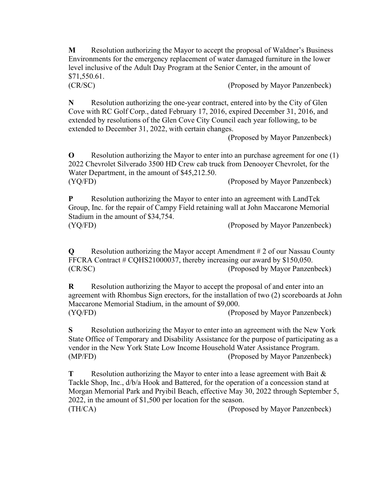**M** Resolution authorizing the Mayor to accept the proposal of Waldner's Business Environments for the emergency replacement of water damaged furniture in the lower level inclusive of the Adult Day Program at the Senior Center, in the amount of \$71,550.61.

(CR/SC) (Proposed by Mayor Panzenbeck)

**N** Resolution authorizing the one-year contract, entered into by the City of Glen Cove with RC Golf Corp., dated February 17, 2016, expired December 31, 2016, and extended by resolutions of the Glen Cove City Council each year following, to be extended to December 31, 2022, with certain changes.

(Proposed by Mayor Panzenbeck)

**O** Resolution authorizing the Mayor to enter into an purchase agreement for one (1) 2022 Chevrolet Silverado 3500 HD Crew cab truck from Denooyer Chevrolet, for the Water Department, in the amount of \$45,212.50. (YQ/FD) (Proposed by Mayor Panzenbeck)

**P** Resolution authorizing the Mayor to enter into an agreement with LandTek Group, Inc. for the repair of Campy Field retaining wall at John Maccarone Memorial Stadium in the amount of \$34,754. (YQ/FD) (Proposed by Mayor Panzenbeck)

**Q** Resolution authorizing the Mayor accept Amendment # 2 of our Nassau County FFCRA Contract # CQHS21000037, thereby increasing our award by \$150,050. (CR/SC) (Proposed by Mayor Panzenbeck)

**R** Resolution authorizing the Mayor to accept the proposal of and enter into an agreement with Rhombus Sign erectors, for the installation of two (2) scoreboards at John Maccarone Memorial Stadium, in the amount of \$9,000. (YQ/FD) (Proposed by Mayor Panzenbeck)

**S** Resolution authorizing the Mayor to enter into an agreement with the New York State Office of Temporary and Disability Assistance for the purpose of participating as a vendor in the New York State Low Income Household Water Assistance Program. (MP/FD) (Proposed by Mayor Panzenbeck)

**T** Resolution authorizing the Mayor to enter into a lease agreement with Bait & Tackle Shop, Inc., d/b/a Hook and Battered, for the operation of a concession stand at Morgan Memorial Park and Pryibil Beach, effective May 30, 2022 through September 5, 2022, in the amount of \$1,500 per location for the season. (TH/CA) (Proposed by Mayor Panzenbeck)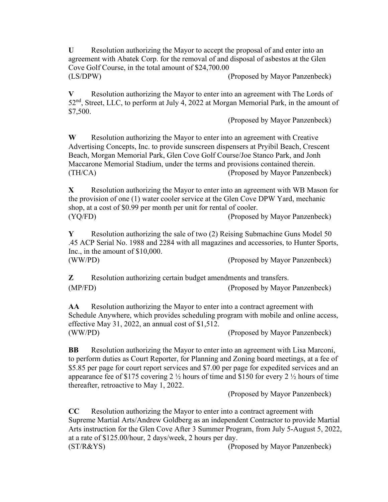**U** Resolution authorizing the Mayor to accept the proposal of and enter into an agreement with Abatek Corp. for the removal of and disposal of asbestos at the Glen Cove Golf Course, in the total amount of \$24,700.00 (LS/DPW) (Proposed by Mayor Panzenbeck)

**V** Resolution authorizing the Mayor to enter into an agreement with The Lords of 52<sup>nd</sup>, Street, LLC, to perform at July 4, 2022 at Morgan Memorial Park, in the amount of \$7,500.

(Proposed by Mayor Panzenbeck)

**W** Resolution authorizing the Mayor to enter into an agreement with Creative Advertising Concepts, Inc. to provide sunscreen dispensers at Pryibil Beach, Crescent Beach, Morgan Memorial Park, Glen Cove Golf Course/Joe Stanco Park, and Jonh Maccarone Memorial Stadium, under the terms and provisions contained therein. (TH/CA) (Proposed by Mayor Panzenbeck)

**X** Resolution authorizing the Mayor to enter into an agreement with WB Mason for the provision of one (1) water cooler service at the Glen Cove DPW Yard, mechanic shop, at a cost of \$0.99 per month per unit for rental of cooler. (YQ/FD) (Proposed by Mayor Panzenbeck)

**Y** Resolution authorizing the sale of two (2) Reising Submachine Guns Model 50 .45 ACP Serial No. 1988 and 2284 with all magazines and accessories, to Hunter Sports, Inc., in the amount of \$10,000. (WW/PD) (Proposed by Mayor Panzenbeck)

**Z** Resolution authorizing certain budget amendments and transfers. (MP/FD) (Proposed by Mayor Panzenbeck)

**AA** Resolution authorizing the Mayor to enter into a contract agreement with Schedule Anywhere, which provides scheduling program with mobile and online access, effective May 31, 2022, an annual cost of \$1,512. (WW/PD) (Proposed by Mayor Panzenbeck)

**BB** Resolution authorizing the Mayor to enter into an agreement with Lisa Marconi, to perform duties as Court Reporter, for Planning and Zoning board meetings, at a fee of \$5.85 per page for court report services and \$7.00 per page for expedited services and an appearance fee of \$175 covering 2  $\frac{1}{2}$  hours of time and \$150 for every 2  $\frac{1}{2}$  hours of time thereafter, retroactive to May 1, 2022.

(Proposed by Mayor Panzenbeck)

**CC** Resolution authorizing the Mayor to enter into a contract agreement with Supreme Martial Arts/Andrew Goldberg as an independent Contractor to provide Martial Arts instruction for the Glen Cove After 3 Summer Program, from July 5-August 5, 2022, at a rate of \$125.00/hour, 2 days/week, 2 hours per day. (ST/R&YS) (Proposed by Mayor Panzenbeck)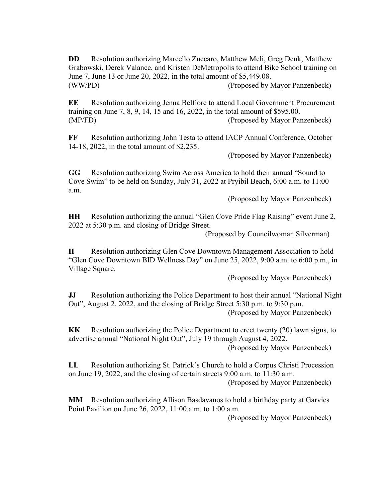**DD** Resolution authorizing Marcello Zuccaro, Matthew Meli, Greg Denk, Matthew Grabowski, Derek Valance, and Kristen DeMetropolis to attend Bike School training on June 7, June 13 or June 20, 2022, in the total amount of \$5,449.08. (WW/PD) (Proposed by Mayor Panzenbeck)

**EE** Resolution authorizing Jenna Belfiore to attend Local Government Procurement training on June 7, 8, 9, 14, 15 and 16, 2022, in the total amount of \$595.00. (MP/FD) (Proposed by Mayor Panzenbeck)

**FF** Resolution authorizing John Testa to attend IACP Annual Conference, October 14-18, 2022, in the total amount of \$2,235.

(Proposed by Mayor Panzenbeck)

**GG** Resolution authorizing Swim Across America to hold their annual "Sound to Cove Swim" to be held on Sunday, July 31, 2022 at Pryibil Beach, 6:00 a.m. to 11:00 a.m.

(Proposed by Mayor Panzenbeck)

**HH** Resolution authorizing the annual "Glen Cove Pride Flag Raising" event June 2, 2022 at 5:30 p.m. and closing of Bridge Street.

(Proposed by Councilwoman Silverman)

**II** Resolution authorizing Glen Cove Downtown Management Association to hold "Glen Cove Downtown BID Wellness Day" on June 25, 2022, 9:00 a.m. to 6:00 p.m., in Village Square.

(Proposed by Mayor Panzenbeck)

**JJ** Resolution authorizing the Police Department to host their annual "National Night Out", August 2, 2022, and the closing of Bridge Street 5:30 p.m. to 9:30 p.m. (Proposed by Mayor Panzenbeck)

**KK** Resolution authorizing the Police Department to erect twenty (20) lawn signs, to advertise annual "National Night Out", July 19 through August 4, 2022.

(Proposed by Mayor Panzenbeck)

**LL** Resolution authorizing St. Patrick's Church to hold a Corpus Christi Procession on June 19, 2022, and the closing of certain streets 9:00 a.m. to 11:30 a.m. (Proposed by Mayor Panzenbeck)

**MM** Resolution authorizing Allison Basdavanos to hold a birthday party at Garvies Point Pavilion on June 26, 2022, 11:00 a.m. to 1:00 a.m.

(Proposed by Mayor Panzenbeck)